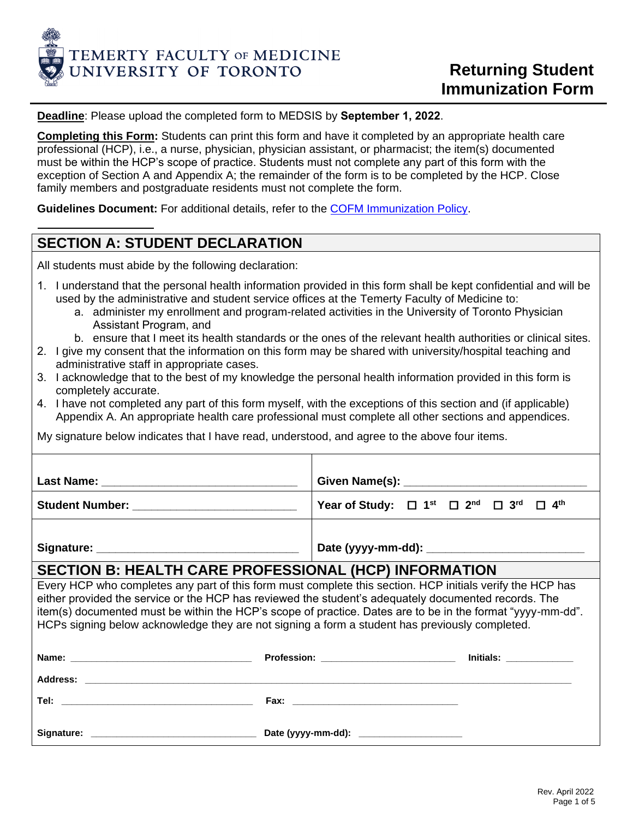

**Deadline**: Please upload the completed form [to MEDSIS](https://utmed.sharefile.com/share/upload/r1d70a1fedf1e4af8bee43130965465b6) by **September 1, 2022**.

**Completing this Form:** Students can print this form and have it completed by an appropriate health care professional (HCP), i.e., a nurse, physician, physician assistant, or pharmacist; the item(s) documented must be within the HCP's scope of practice. Students must not complete any part of this form with the exception of Section A and Appendix A; the remainder of the form is to be completed by the HCP. Close family members and postgraduate residents must not complete the form.

**Guidelines Document:** For additional details, refer to the [COFM Immunization Policy.](https://cou.ca/reports/cofm-immunization-policy/)

# **SECTION A: STUDENT DECLARATION**

All students must abide by the following declaration:

- 1. I understand that the personal health information provided in this form shall be kept confidential and will be used by the administrative and student service offices at the Temerty Faculty of Medicine to:
	- a. administer my enrollment and program-related activities in the University of Toronto Physician Assistant Program, and
	- b. ensure that I meet its health standards or the ones of the relevant health authorities or clinical sites.
- 2. I give my consent that the information on this form may be shared with university/hospital teaching and administrative staff in appropriate cases.
- 3. I acknowledge that to the best of my knowledge the personal health information provided in this form is completely accurate.
- 4. I have not completed any part of this form myself, with the exceptions of this section and (if applicable) Appendix A. An appropriate health care professional must complete all other sections and appendices.

My signature below indicates that I have read, understood, and agree to the above four items.

| <b>Last Name:</b>                                                                                                                                                                                                              |                                                                                                            |
|--------------------------------------------------------------------------------------------------------------------------------------------------------------------------------------------------------------------------------|------------------------------------------------------------------------------------------------------------|
| Student Number: Entertainment of the state of the state of the state of the state of the state of the state of the state of the state of the state of the state of the state of the state of the state of the state of the sta | Year of Study: $\Box$ 1 <sup>st</sup> $\Box$ 2 <sup>nd</sup> $\Box$ 3 <sup>rd</sup> $\Box$ 4 <sup>th</sup> |
|                                                                                                                                                                                                                                |                                                                                                            |
|                                                                                                                                                                                                                                |                                                                                                            |

## **SECTION B: HEALTH CARE PROFESSIONAL (HCP) INFORMATION**

Every HCP who completes any part of this form must complete this section. HCP initials verify the HCP has either provided the service or the HCP has reviewed the student's adequately documented records. The item(s) documented must be within the HCP's scope of practice. Dates are to be in the format "yyyy-mm-dd". HCPs signing below acknowledge they are not signing a form a student has previously completed.

| Name:<br><u> 1990 - Johann Stein, marwolaethau a bhann an t-Amhainn an t-Amhainn an t-Amhainn an t-Amhainn an t-Amhainn an</u> | <b>Profession:</b><br><u> The Communication of the Communication of the Communication of the Communication of the Communication of the Communication of the Communication of the Communication of the Communication of the Communication of the Commun</u> | <b>Initials:</b> the control of the control of the control of the control of the control of the control of the control of the control of the control of the control of the control of the control of the control of the control of |
|--------------------------------------------------------------------------------------------------------------------------------|------------------------------------------------------------------------------------------------------------------------------------------------------------------------------------------------------------------------------------------------------------|------------------------------------------------------------------------------------------------------------------------------------------------------------------------------------------------------------------------------------|
| Address:                                                                                                                       |                                                                                                                                                                                                                                                            |                                                                                                                                                                                                                                    |
| Tel:<br>the control of the control of the control of the control of the control of the control of                              | Fax:<br><u> 1980 - Jan James James Barbara, martin da shekara 1980 - Ang Partid Barbara ang Partid Barbara ang Partid Ba</u>                                                                                                                               |                                                                                                                                                                                                                                    |
| Signature:                                                                                                                     | Date (yyyy-mm-dd): ______________________                                                                                                                                                                                                                  |                                                                                                                                                                                                                                    |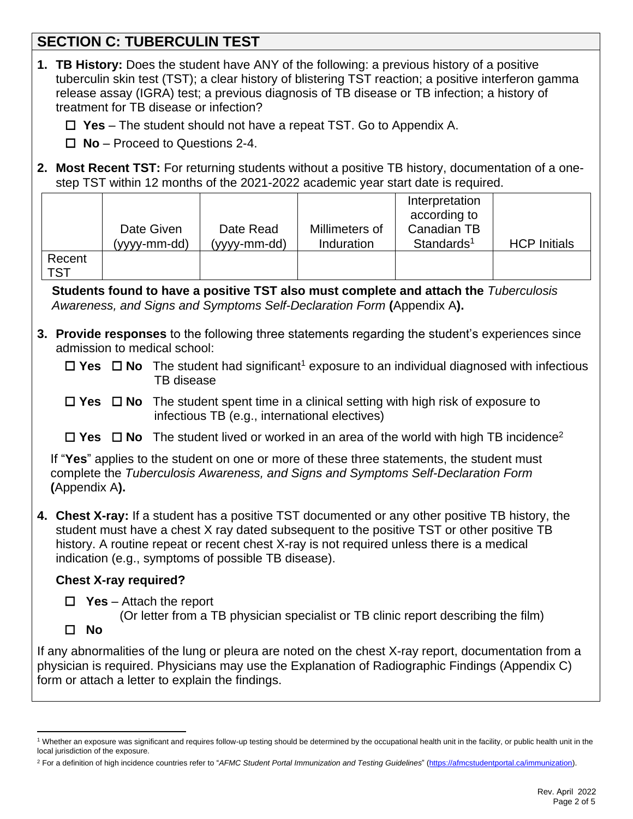# **SECTION C: TUBERCULIN TEST**

| 1. TB History: Does the student have ANY of the following: a previous history of a positive<br>tuberculin skin test (TST); a clear history of blistering TST reaction; a positive interferon gamma<br>release assay (IGRA) test; a previous diagnosis of TB disease or TB infection; a history of<br>treatment for TB disease or infection?       |                                                                                                                                                                                       |                           |                              |                                                                         |                     |
|---------------------------------------------------------------------------------------------------------------------------------------------------------------------------------------------------------------------------------------------------------------------------------------------------------------------------------------------------|---------------------------------------------------------------------------------------------------------------------------------------------------------------------------------------|---------------------------|------------------------------|-------------------------------------------------------------------------|---------------------|
|                                                                                                                                                                                                                                                                                                                                                   | $\Box$ Yes – The student should not have a repeat TST. Go to Appendix A.                                                                                                              |                           |                              |                                                                         |                     |
|                                                                                                                                                                                                                                                                                                                                                   | $\Box$ No – Proceed to Questions 2-4.                                                                                                                                                 |                           |                              |                                                                         |                     |
|                                                                                                                                                                                                                                                                                                                                                   | 2. Most Recent TST: For returning students without a positive TB history, documentation of a one-<br>step TST within 12 months of the 2021-2022 academic year start date is required. |                           |                              |                                                                         |                     |
| Recent                                                                                                                                                                                                                                                                                                                                            | Date Given<br>(yyyy-mm-dd)                                                                                                                                                            | Date Read<br>(yyyy-mm-dd) | Millimeters of<br>Induration | Interpretation<br>according to<br>Canadian TB<br>Standards <sup>1</sup> | <b>HCP Initials</b> |
| <b>TST</b>                                                                                                                                                                                                                                                                                                                                        |                                                                                                                                                                                       |                           |                              |                                                                         |                     |
|                                                                                                                                                                                                                                                                                                                                                   | Students found to have a positive TST also must complete and attach the Tuberculosis<br>Awareness, and Signs and Symptoms Self-Declaration Form (Appendix A).                         |                           |                              |                                                                         |                     |
|                                                                                                                                                                                                                                                                                                                                                   | 3. Provide responses to the following three statements regarding the student's experiences since<br>admission to medical school:                                                      |                           |                              |                                                                         |                     |
|                                                                                                                                                                                                                                                                                                                                                   | $\Box$ Yes $\Box$ No The student had significant <sup>1</sup> exposure to an individual diagnosed with infectious<br>TB disease                                                       |                           |                              |                                                                         |                     |
| The student spent time in a clinical setting with high risk of exposure to<br>$\Box$ Yes $\Box$ No<br>infectious TB (e.g., international electives)                                                                                                                                                                                               |                                                                                                                                                                                       |                           |                              |                                                                         |                     |
|                                                                                                                                                                                                                                                                                                                                                   | $\Box$ Yes $\Box$ No The student lived or worked in an area of the world with high TB incidence <sup>2</sup>                                                                          |                           |                              |                                                                         |                     |
| If "Yes" applies to the student on one or more of these three statements, the student must<br>complete the Tuberculosis Awareness, and Signs and Symptoms Self-Declaration Form<br>(Appendix A).                                                                                                                                                  |                                                                                                                                                                                       |                           |                              |                                                                         |                     |
| 4. Chest X-ray: If a student has a positive TST documented or any other positive TB history, the<br>student must have a chest X ray dated subsequent to the positive TST or other positive TB<br>history. A routine repeat or recent chest X-ray is not required unless there is a medical<br>indication (e.g., symptoms of possible TB disease). |                                                                                                                                                                                       |                           |                              |                                                                         |                     |
| <b>Chest X-ray required?</b>                                                                                                                                                                                                                                                                                                                      |                                                                                                                                                                                       |                           |                              |                                                                         |                     |
| <b>Yes</b> – Attach the report<br>$\Box$<br>(Or letter from a TB physician specialist or TB clinic report describing the film)                                                                                                                                                                                                                    |                                                                                                                                                                                       |                           |                              |                                                                         |                     |
| <b>No</b><br>ப                                                                                                                                                                                                                                                                                                                                    |                                                                                                                                                                                       |                           |                              |                                                                         |                     |
| If any abnormalities of the lung or pleura are noted on the chest X-ray report, documentation from a<br>physician is required. Physicians may use the Explanation of Radiographic Findings (Appendix C)<br>form or attach a letter to explain the findings.                                                                                       |                                                                                                                                                                                       |                           |                              |                                                                         |                     |
|                                                                                                                                                                                                                                                                                                                                                   |                                                                                                                                                                                       |                           |                              |                                                                         |                     |

<sup>&</sup>lt;sup>1</sup> Whether an exposure was significant and requires follow-up testing should be determined by the occupational health unit in the facility, or public health unit in the local jurisdiction of the exposure.

<sup>&</sup>lt;sup>2</sup> For a definition of high incidence countries refer to "AFMC Student Portal Immunization and Testing Guidelines" [\(https://afmcstudentportal.ca/immunization\)](https://afmcstudentportal.ca/immunization).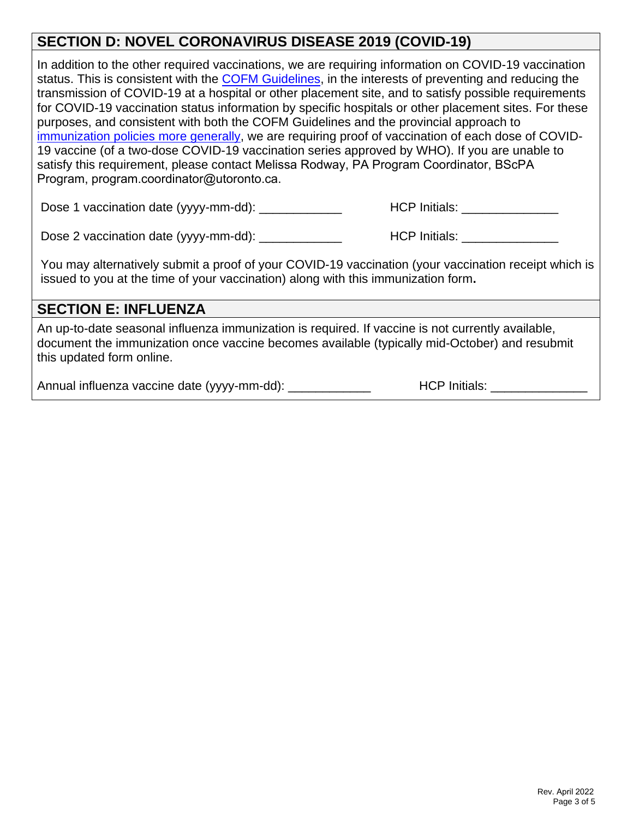# **SECTION D: NOVEL CORONAVIRUS DISEASE 2019 (COVID-19)**

In addition to the other required vaccinations, we are requiring information on COVID-19 vaccination status. This is consistent with the **COFM Guidelines**, in the interests of preventing and reducing the transmission of COVID-19 at a hospital or other placement site, and to satisfy possible requirements for COVID-19 vaccination status information by specific hospitals or other placement sites. For these purposes, and consistent with both the COFM Guidelines and the provincial approach to [immunization policies more generally,](https://www.ontario.ca/laws/regulation/900965#BK4) we are requiring proof of vaccination of each dose of COVID-19 vaccine (of a two-dose COVID-19 vaccination series approved by WHO). If you are unable to satisfy this requirement, please contact Melissa Rodway, PA Program Coordinator, BScPA Program, program.coordinator@utoronto.ca.

Dose 1 vaccination date (yyyy-mm-dd): \_\_\_\_\_\_\_\_\_\_\_\_ HCP Initials: \_\_\_\_\_\_\_\_\_\_\_\_\_\_

Dose 2 vaccination date (yyyy-mm-dd): \_\_\_\_\_\_\_\_\_\_\_\_ HCP Initials: \_\_\_\_\_\_\_\_\_\_\_\_\_\_

You may alternatively submit a proof of your COVID-19 vaccination (your vaccination receipt which is issued to you at the time of your vaccination) along with this immunization form**.**

## **SECTION E: INFLUENZA**

An up-to-date seasonal influenza immunization is required. If vaccine is not currently available, document the immunization once vaccine becomes available (typically mid-October) and resubmit this updated form online.

Annual influenza vaccine date (yyyy-mm-dd): \_\_\_\_\_\_\_\_\_\_\_\_ HCP Initials: \_\_\_\_\_\_\_\_\_\_\_\_\_\_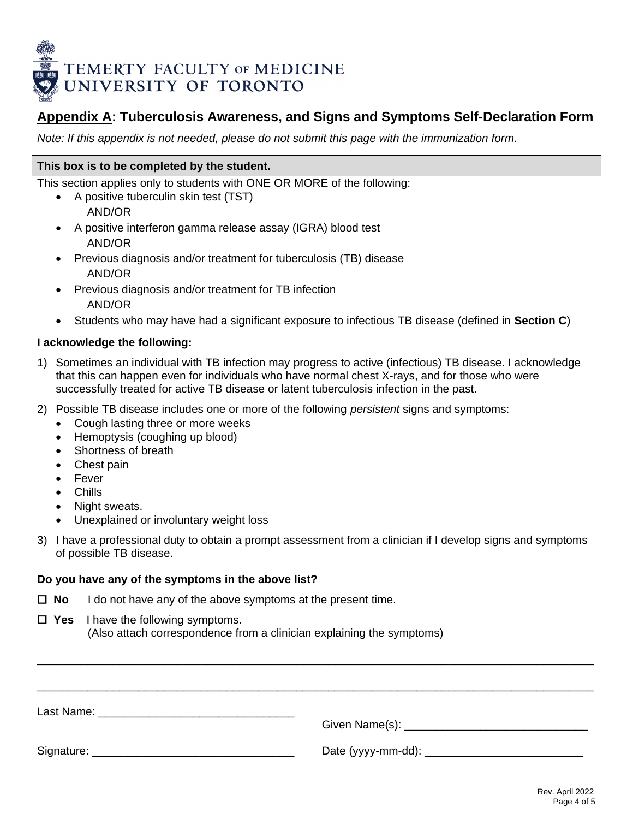

## **Appendix A: Tuberculosis Awareness, and Signs and Symptoms Self-Declaration Form**

*Note: If this appendix is not needed, please do not submit this page with the immunization form.*

### **This box is to be completed by the student.**

This section applies only to students with ONE OR MORE of the following:

- A positive tuberculin skin test (TST) AND/OR
- A positive interferon gamma release assay (IGRA) blood test AND/OR
- Previous diagnosis and/or treatment for tuberculosis (TB) disease AND/OR
- Previous diagnosis and/or treatment for TB infection AND/OR
- Students who may have had a significant exposure to infectious TB disease (defined in **Section C**)

#### **I acknowledge the following:**

- 1) Sometimes an individual with TB infection may progress to active (infectious) TB disease. I acknowledge that this can happen even for individuals who have normal chest X-rays, and for those who were successfully treated for active TB disease or latent tuberculosis infection in the past.
- 2) Possible TB disease includes one or more of the following *persistent* signs and symptoms:
	- Cough lasting three or more weeks
	- Hemoptysis (coughing up blood)
	- Shortness of breath
	- Chest pain
	- **Fever**
	- Chills
	- Night sweats.
	- Unexplained or involuntary weight loss
- 3) I have a professional duty to obtain a prompt assessment from a clinician if I develop signs and symptoms of possible TB disease.

| Do you have any of the symptoms in the above list? |                                                                                                                    |  |  |  |  |
|----------------------------------------------------|--------------------------------------------------------------------------------------------------------------------|--|--|--|--|
|                                                    | $\Box$ No I do not have any of the above symptoms at the present time.                                             |  |  |  |  |
|                                                    | $\Box$ Yes I have the following symptoms.<br>(Also attach correspondence from a clinician explaining the symptoms) |  |  |  |  |
|                                                    |                                                                                                                    |  |  |  |  |
|                                                    |                                                                                                                    |  |  |  |  |